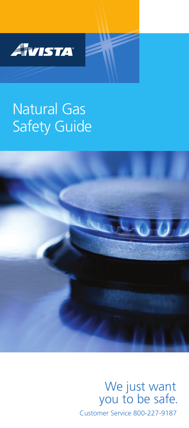

# Natural Gas Safety Guide



Customer Service 800-227-9187 We just want you to be safe.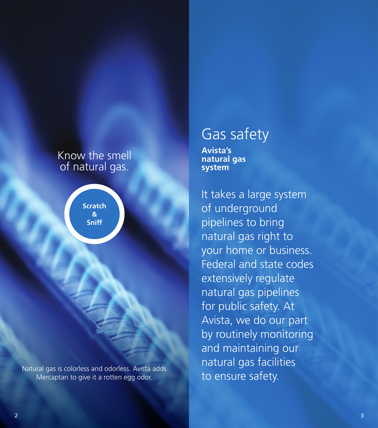# Know the smell of natural gas.

**Scratch & Sniff**

Natural gas is colorless and odorless. Avista adds Mercaptan to give it a rotten egg odor.

# Gas safety

**Avista's natural gas system**

It takes a large system of underground pipelines to bring natural gas right to your home or business. Federal and state codes extensively regulate natural gas pipelines for public safety. At Avista, we do our part by routinely monitoring and maintaining our natural gas facilities to ensure safety.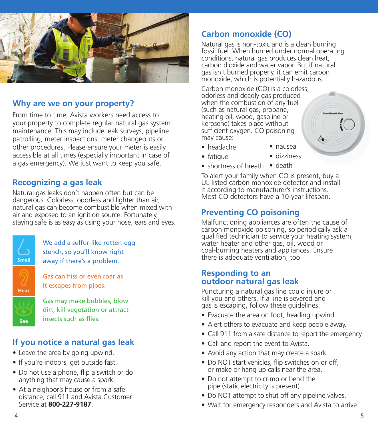

#### **Why are we on your property?**

From time to time, Avista workers need access to your property to complete regular natural gas system maintenance. This may include leak surveys, pipeline patrolling, meter inspections, meter changeouts or other procedures. Please ensure your meter is easily accessible at all times (especially important in case of a gas emergency). We just want to keep you safe.

### **Recognizing a gas leak**

Natural gas leaks don't happen often but can be dangerous. Colorless, odorless and lighter than air, natural gas can become combustible when mixed with air and exposed to an ignition source. Fortunately, staying safe is as easy as using your nose, ears and eyes.



Gas can hiss or even roar as it escapes from pipes.

We add a sulfur-like rotten-egg stench, so you'll know right away if there's a problem.

Gas may make bubbles, blow dirt, kill vegetation or attract insects such as flies.

### **If you notice a natural gas leak**

- Leave the area by going upwind.
- If you're indoors, get outside fast.
- Do not use a phone, flip a switch or do anything that may cause a spark.
- At a neighbor's house or from a safe distance, call 911 and Avista Customer Service at **800-227-9187**.

# **Carbon monoxide (CO)**

Natural gas is non-toxic and is a clean burning fossil fuel. When burned under normal operating conditions, natural gas produces clean heat, carbon dioxide and water vapor. But if natural gas isn't burned properly, it can emit carbon monoxide, which is potentially hazardous.

Carbon monoxide (CO) is a colorless, odorless and deadly gas produced when the combustion of any fuel (such as natural gas, propane, heating oil, wood, gasoline or kerosene) takes place without sufficient oxygen. CO poisoning may cause:

• headache

• fatigue

- nausea • dizziness
- shortness of breath death

To alert your family when CO is present, buy a UL-listed carbon monoxide detector and install it according to manufacturer's instructions. Most CO detectors have a 10-year lifespan.

## **Preventing CO poisoning**

Malfunctioning appliances are often the cause of carbon monoxide poisoning, so periodically ask a qualified technician to service your heating system, water heater and other gas, oil, wood or coal-burning heaters and appliances. Ensure there is adequate ventilation, too.

#### **Responding to an outdoor natural gas leak**

Puncturing a natural gas line could injure or kill you and others. If a line is severed and gas is escaping, follow these guidelines:

- Evacuate the area on foot, heading upwind.
- Alert others to evacuate and keep people away.
- Call 911 from a safe distance to report the emergency.
- Call and report the event to Avista.
- Avoid any action that may create a spark.
- Do NOT start vehicles, flip switches on or off, or make or hang up calls near the area.
- Do not attempt to crimp or bend the pipe (static electricity is present).
- Do NOT attempt to shut off any pipeline valves.
- Wait for emergency responders and Avista to arrive.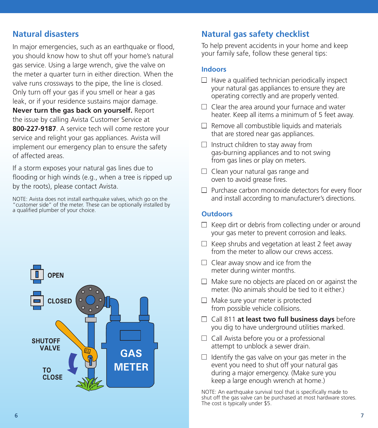### **Natural disasters**

In major emergencies, such as an earthquake or flood, you should know how to shut off your home's natural gas service. Using a large wrench, give the valve on the meter a quarter turn in either direction. When the valve runs crossways to the pipe, the line is closed. Only turn off your gas if you smell or hear a gas leak, or if your residence sustains major damage. **Never turn the gas back on yourself.** Report the issue by calling Avista Customer Service at **800-227-9187**. A service tech will come restore your service and relight your gas appliances. Avista will implement our emergency plan to ensure the safety of affected areas.

If a storm exposes your natural gas lines due to flooding or high winds (e.g., when a tree is ripped up by the roots), please contact Avista.

NOTE: Avista does not install earthquake valves, which go on the "customer side" of the meter. These can be optionally installed by a qualified plumber of your choice.



## **Natural gas safety checklist**

To help prevent accidents in your home and keep your family safe, follow these general tips:

#### **Indoors**

- $\Box$  Have a qualified technician periodically inspect your natural gas appliances to ensure they are operating correctly and are properly vented.
- $\Box$  Clear the area around your furnace and water heater. Keep all items a minimum of 5 feet away.
- $\Box$  Remove all combustible liquids and materials that are stored near gas appliances.
- $\Box$  Instruct children to stay away from gas-burning appliances and to not swing from gas lines or play on meters.
- $\Box$  Clean your natural gas range and oven to avoid grease fires.
- $\Box$  Purchase carbon monoxide detectors for every floor and install according to manufacturer's directions.

#### **Outdoors**

- $\Box$  Keep dirt or debris from collecting under or around your gas meter to prevent corrosion and leaks.
- $\Box$  Keep shrubs and vegetation at least 2 feet away from the meter to allow our crews access.
- $\Box$  Clear away snow and ice from the meter during winter months.
- $\Box$  Make sure no objects are placed on or against the meter. (No animals should be tied to it either.)
- $\Box$  Make sure your meter is protected from possible vehicle collisions.
- □ Call 811 **at least two full business days** before you dig to have underground utilities marked.
- $\Box$  Call Avista before you or a professional attempt to unblock a sewer drain.
- $\Box$  Identify the gas valve on your gas meter in the event you need to shut off your natural gas during a major emergency. (Make sure you keep a large enough wrench at home.)

NOTE: An earthquake survival tool that is specifically made to shut off the gas valve can be purchased at most hardware stores. The cost is typically under \$5.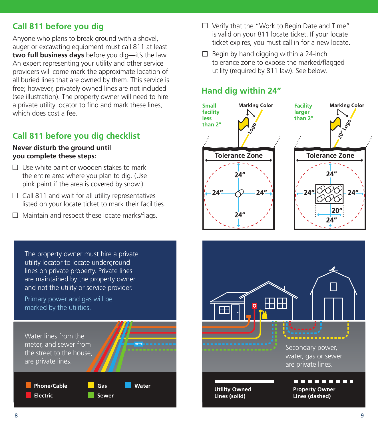# **Call 811 before you dig**

Anyone who plans to break ground with a shovel, auger or excavating equipment must call 811 at least **two full business days** before you dig—it's the law. An expert representing your utility and other service providers will come mark the approximate location of all buried lines that are owned by them. This service is free; however, privately owned lines are not included (see illustration). The property owner will need to hire a private utility locator to find and mark these lines, which does cost a fee.

# **Call 811 before you dig checklist**

#### **Never disturb the ground until you complete these steps:**

- $\Box$  Use white paint or wooden stakes to mark the entire area where you plan to dig. (Use pink paint if the area is covered by snow.)
- $\Box$  Call 811 and wait for all utility representatives listed on your locate ticket to mark their facilities.
- $\Box$  Maintain and respect these locate marks/flags.
- The property owner must hire a private utility locator to locate underground lines on private property. Private lines are maintained by the property owner and not the utility or service provider. Primary power and gas will be marked by the utilities. H Water lines from the meter, and sewer from **METE METER** the street to the house, are private lines. **Phone/Cable Gas Water Phone/Cable Gas Water Electric Sewer Electric Sewer Lines (solid) Lines (solid)**
- $\Box$  Verify that the "Work to Begin Date and Time" is valid on your 811 locate ticket. If your locate ticket expires, you must call in for a new locate.
- $\Box$  Begin by hand digging within a 24-inch tolerance zone to expose the marked/flagged utility (required by 811 law). See below.

# **Hand dig within 24"**



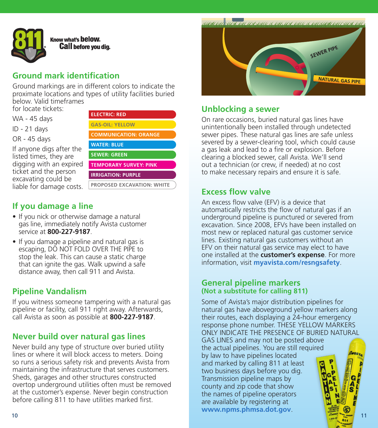

#### Know what's **below. Call before you dig.**

## **Ground mark identification**

Ground markings are in different colors to indicate the proximate locations and types of utility facilities buried below. Valid timeframes for locate tickets:

WA - 45 days

ID - 21 days

OR - 45 days

If anyone digs after the listed times, they are digging with an expired ticket and the person excavating could be liable for damage costs.



# **If you damage a line**

- If you nick or otherwise damage a natural gas line, immediately notify Avista customer service at **800-227-9187**.
- If you damage a pipeline and natural gas is escaping, DO NOT FOLD OVER THE PIPE to stop the leak. This can cause a static charge that can ignite the gas. Walk upwind a safe distance away, then call 911 and Avista.

# **Pipeline Vandalism**

If you witness someone tampering with a natural gas pipeline or facility, call 911 right away. Afterwards, call Avista as soon as possible at **800-227-9187**.

## **Never build over natural gas lines**

Never build any type of structure over buried utility lines or where it will block access to meters. Doing so runs a serious safety risk and prevents Avista from maintaining the infrastructure that serves customers. Sheds, garages and other structures constructed overtop underground utilities often must be removed at the customer's expense. Never begin construction before calling 811 to have utilities marked first.



#### **Unblocking a sewer**

On rare occasions, buried natural gas lines have unintentionally been installed through undetected sewer pipes. These natural gas lines are safe unless severed by a sewer-clearing tool, which could cause a gas leak and lead to a fire or explosion. Before clearing a blocked sewer, call Avista. We'll send out a technician (or crew, if needed) at no cost to make necessary repairs and ensure it is safe.

## **Excess flow valve**

An excess flow valve (EFV) is a device that automatically restricts the flow of natural gas if an underground pipeline is punctured or severed from excavation. Since 2008, EFVs have been installed on most new or replaced natural gas customer service lines. Existing natural gas customers without an EFV on their natural gas service may elect to have one installed at the **customer's expense**. For more information, visit **myavista.com/resngsafety**.

#### **General pipeline markers (Not a substitute for calling 811)**

Some of Avista's major distribution pipelines for natural gas have aboveground yellow markers along their routes, each displaying a 24-hour emergency response phone number. THESE YELLOW MARKERS ONLY INDICATE THE PRESENCE OF BURIED NATURAL GAS LINES and may not be posted above the actual pipelines. You are still required by law to have pipelines located and marked by calling 811 at least two business days before you dig. Transmission pipeline maps by Ä<br>S county and zip code that show the names of pipeline operators are available by registering at **www.npms.phmsa.dot.gov**.